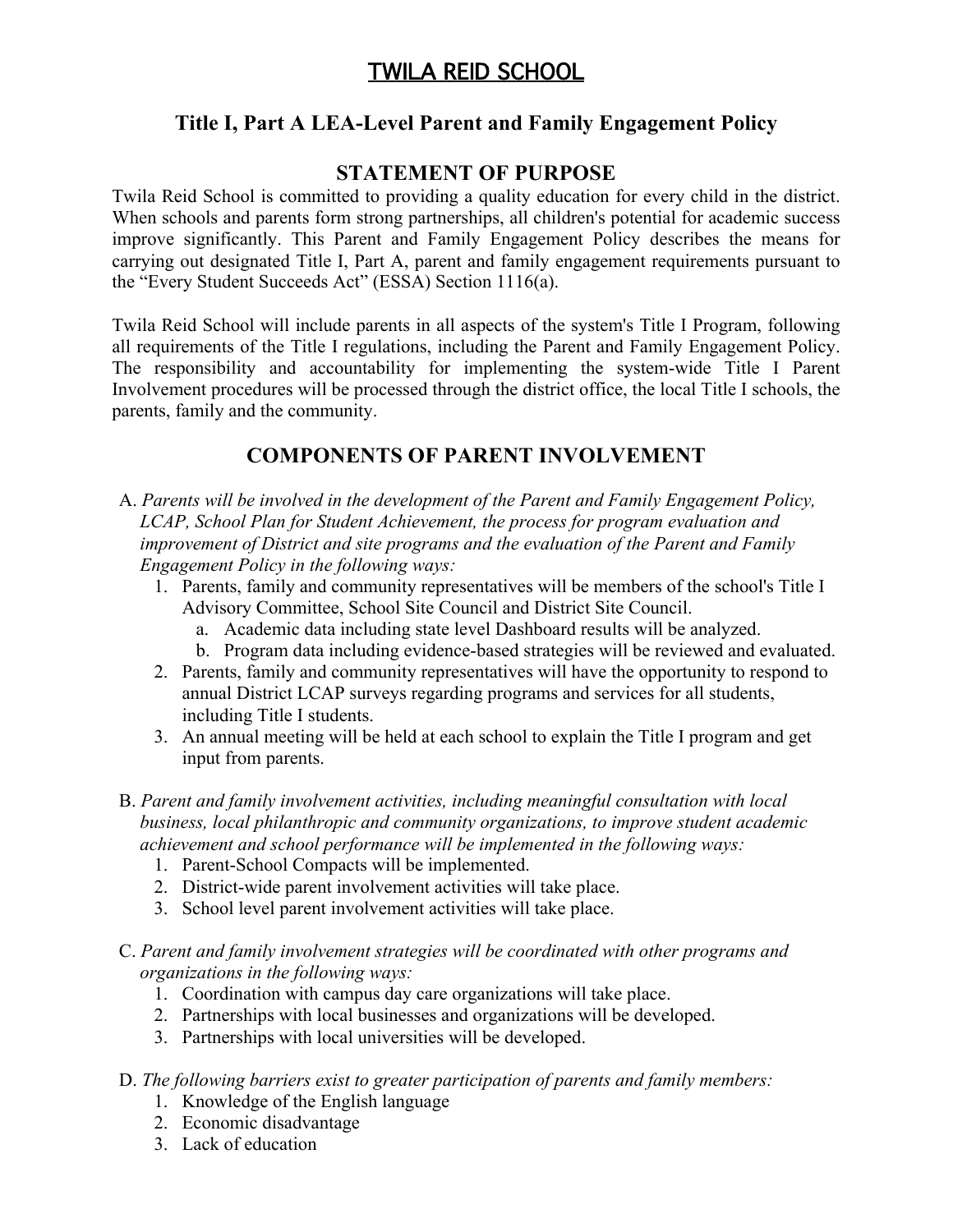# TWILA REID SCHOOL

## **Title I, Part A LEA-Level Parent and Family Engagement Policy**

### **STATEMENT OF PURPOSE**

Twila Reid School is committed to providing a quality education for every child in the district. When schools and parents form strong partnerships, all children's potential for academic success improve significantly. This Parent and Family Engagement Policy describes the means for carrying out designated Title I, Part A, parent and family engagement requirements pursuant to the "Every Student Succeeds Act" (ESSA) Section 1116(a).

Twila Reid School will include parents in all aspects of the system's Title I Program, following all requirements of the Title I regulations, including the Parent and Family Engagement Policy. The responsibility and accountability for implementing the system-wide Title I Parent Involvement procedures will be processed through the district office, the local Title I schools, the parents, family and the community.

## **COMPONENTS OF PARENT INVOLVEMENT**

- A. *Parents will be involved in the development of the Parent and Family Engagement Policy, LCAP, School Plan for Student Achievement, the process for program evaluation and improvement of District and site programs and the evaluation of the Parent and Family Engagement Policy in the following ways:*
	- 1. Parents, family and community representatives will be members of the school's Title I Advisory Committee, School Site Council and District Site Council.
		- a. Academic data including state level Dashboard results will be analyzed.
		- b. Program data including evidence-based strategies will be reviewed and evaluated.
	- 2. Parents, family and community representatives will have the opportunity to respond to annual District LCAP surveys regarding programs and services for all students, including Title I students.
	- 3. An annual meeting will be held at each school to explain the Title I program and get input from parents.
- B. *Parent and family involvement activities, including meaningful consultation with local business, local philanthropic and community organizations, to improve student academic achievement and school performance will be implemented in the following ways:*
	- 1. Parent-School Compacts will be implemented.
	- 2. District-wide parent involvement activities will take place.
	- 3. School level parent involvement activities will take place.
- C. *Parent and family involvement strategies will be coordinated with other programs and organizations in the following ways:*
	- 1. Coordination with campus day care organizations will take place.
	- 2. Partnerships with local businesses and organizations will be developed.
	- 3. Partnerships with local universities will be developed.
- D. *The following barriers exist to greater participation of parents and family members:*
	- 1. Knowledge of the English language
	- 2. Economic disadvantage
	- 3. Lack of education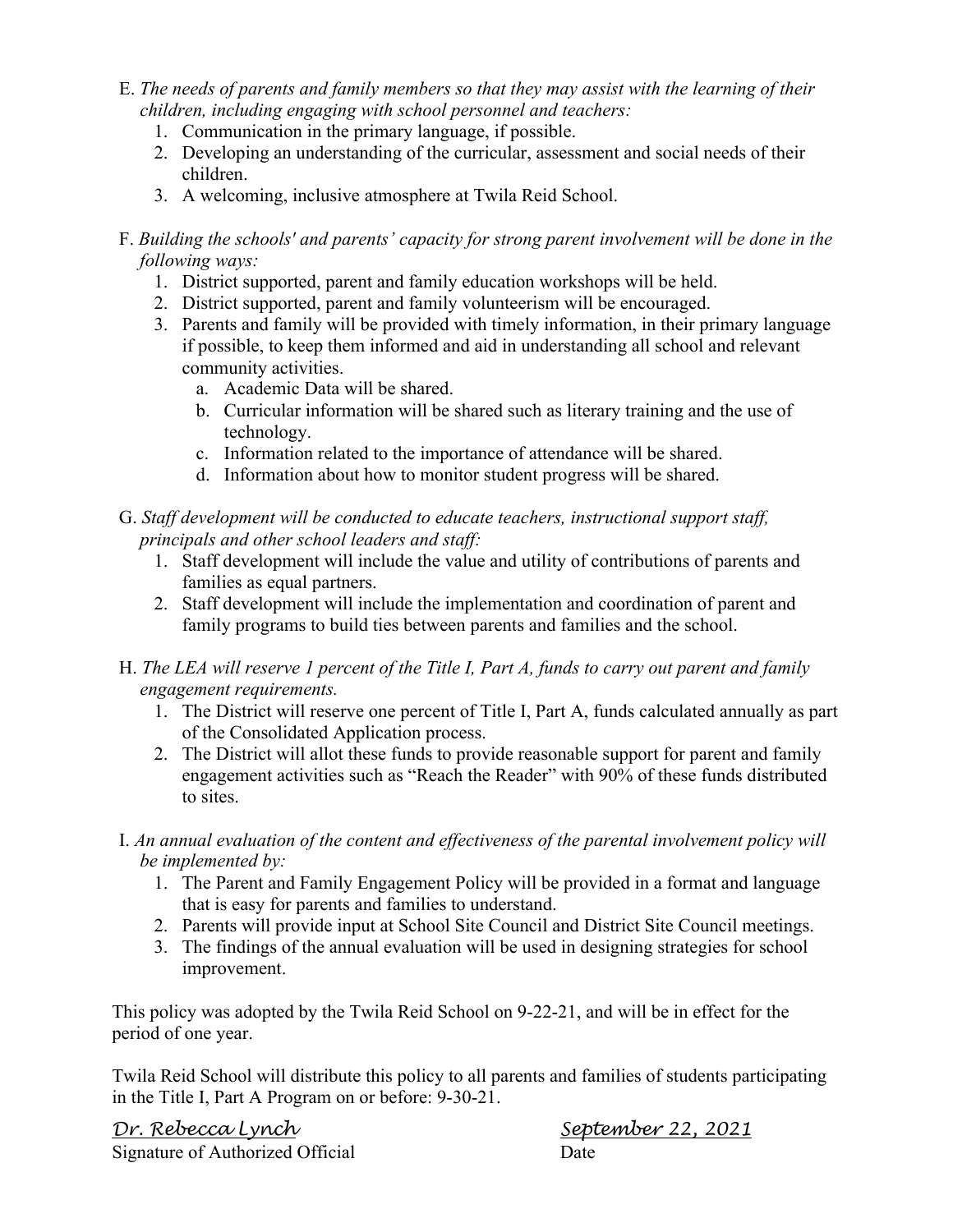- E. *The needs of parents and family members so that they may assist with the learning of their children, including engaging with school personnel and teachers:*
	- 1. Communication in the primary language, if possible.
	- 2. Developing an understanding of the curricular, assessment and social needs of their children.
	- 3. A welcoming, inclusive atmosphere at Twila Reid School.

### F. *Building the schools' and parents' capacity for strong parent involvement will be done in the following ways:*

- 1. District supported, parent and family education workshops will be held.
- 2. District supported, parent and family volunteerism will be encouraged.
- 3. Parents and family will be provided with timely information, in their primary language if possible, to keep them informed and aid in understanding all school and relevant community activities.
	- a. Academic Data will be shared.
	- b. Curricular information will be shared such as literary training and the use of technology.
	- c. Information related to the importance of attendance will be shared.
	- d. Information about how to monitor student progress will be shared.

G. *Staff development will be conducted to educate teachers, instructional support staff, principals and other school leaders and staff:*

- 1. Staff development will include the value and utility of contributions of parents and families as equal partners.
- 2. Staff development will include the implementation and coordination of parent and family programs to build ties between parents and families and the school.
- H. *The LEA will reserve 1 percent of the Title I, Part A, funds to carry out parent and family engagement requirements.*
	- 1. The District will reserve one percent of Title I, Part A, funds calculated annually as part of the Consolidated Application process.
	- 2. The District will allot these funds to provide reasonable support for parent and family engagement activities such as "Reach the Reader" with 90% of these funds distributed to sites.
- I. *An annual evaluation of the content and effectiveness of the parental involvement policy will be implemented by:*
	- 1. The Parent and Family Engagement Policy will be provided in a format and language that is easy for parents and families to understand.
	- 2. Parents will provide input at School Site Council and District Site Council meetings.
	- 3. The findings of the annual evaluation will be used in designing strategies for school improvement.

This policy was adopted by the Twila Reid School on 9-22-21, and will be in effect for the period of one year.

Twila Reid School will distribute this policy to all parents and families of students participating in the Title I, Part A Program on or before: 9-30-21.

*Dr. Rebecca Lynch September 22, 2021* Signature of Authorized Official Date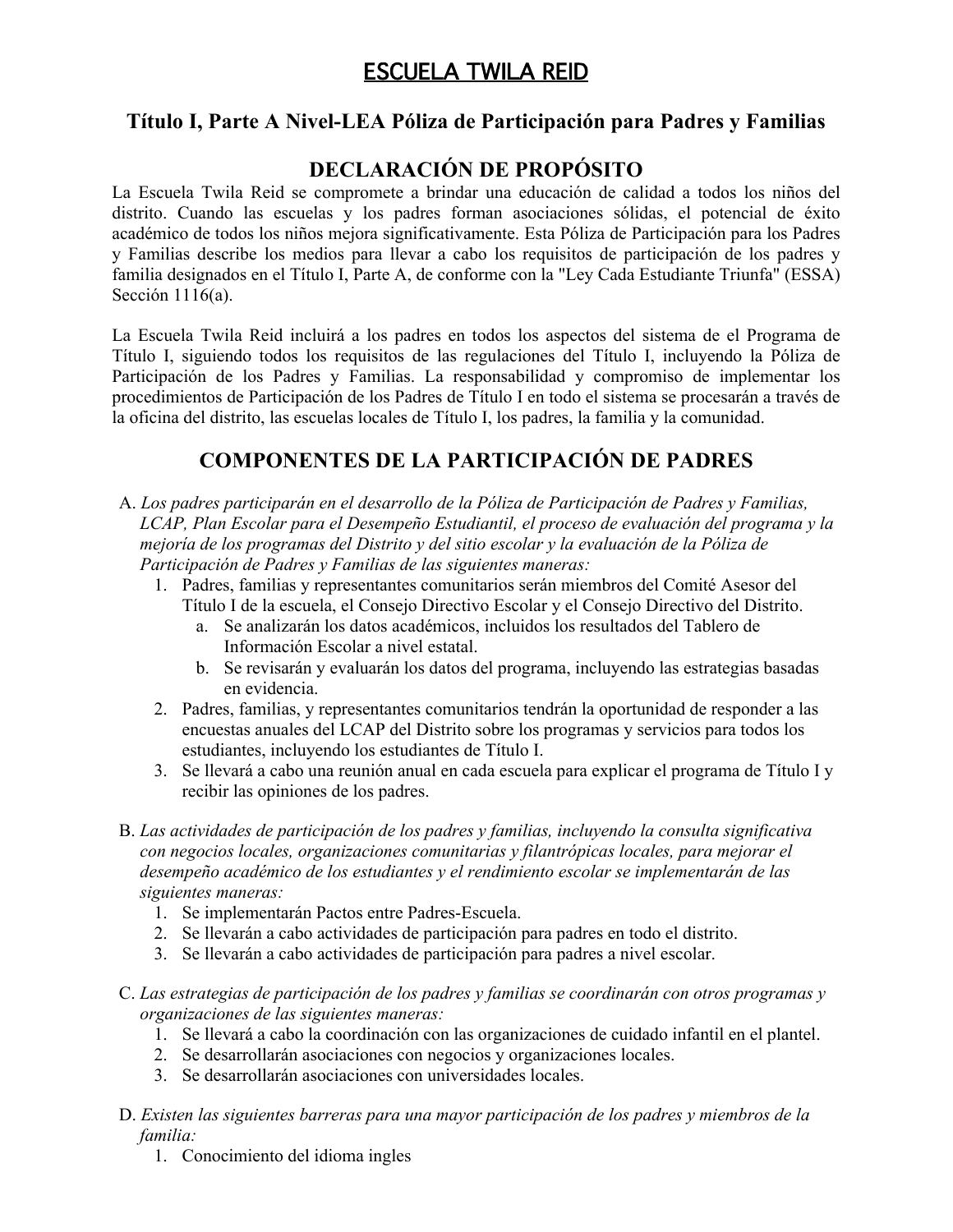# ESCUELA TWILA REID

### **Título I, Parte A Nivel-LEA Póliza de Participación para Padres y Familias**

## **DECLARACIÓN DE PROPÓSITO**

La Escuela Twila Reid se compromete a brindar una educación de calidad a todos los niños del distrito. Cuando las escuelas y los padres forman asociaciones sólidas, el potencial de éxito académico de todos los niños mejora significativamente. Esta Póliza de Participación para los Padres y Familias describe los medios para llevar a cabo los requisitos de participación de los padres y familia designados en el Título I, Parte A, de conforme con la "Ley Cada Estudiante Triunfa" (ESSA) Sección 1116(a).

La Escuela Twila Reid incluirá a los padres en todos los aspectos del sistema de el Programa de Título I, siguiendo todos los requisitos de las regulaciones del Título I, incluyendo la Póliza de Participación de los Padres y Familias. La responsabilidad y compromiso de implementar los procedimientos de Participación de los Padres de Título I en todo el sistema se procesarán a través de la oficina del distrito, las escuelas locales de Título I, los padres, la familia y la comunidad.

## **COMPONENTES DE LA PARTICIPACIÓN DE PADRES**

- A. *Los padres participarán en el desarrollo de la Póliza de Participación de Padres y Familias, LCAP, Plan Escolar para el Desempeño Estudiantil, el proceso de evaluación del programa y la mejoría de los programas del Distrito y del sitio escolar y la evaluación de la Póliza de Participación de Padres y Familias de las siguientes maneras:*
	- 1. Padres, familias y representantes comunitarios serán miembros del Comité Asesor del Título I de la escuela, el Consejo Directivo Escolar y el Consejo Directivo del Distrito.
		- a. Se analizarán los datos académicos, incluidos los resultados del Tablero de Información Escolar a nivel estatal.
		- b. Se revisarán y evaluarán los datos del programa, incluyendo las estrategias basadas en evidencia.
	- 2. Padres, familias, y representantes comunitarios tendrán la oportunidad de responder a las encuestas anuales del LCAP del Distrito sobre los programas y servicios para todos los estudiantes, incluyendo los estudiantes de Título I.
	- 3. Se llevará a cabo una reunión anual en cada escuela para explicar el programa de Título I y recibir las opiniones de los padres.
- B. *Las actividades de participación de los padres y familias, incluyendo la consulta significativa con negocios locales, organizaciones comunitarias y filantrópicas locales, para mejorar el desempeño académico de los estudiantes y el rendimiento escolar se implementarán de las siguientes maneras:*
	- 1. Se implementarán Pactos entre Padres-Escuela.
	- 2. Se llevarán a cabo actividades de participación para padres en todo el distrito.
	- 3. Se llevarán a cabo actividades de participación para padres a nivel escolar.
- C. *Las estrategias de participación de los padres y familias se coordinarán con otros programas y organizaciones de las siguientes maneras:*
	- 1. Se llevará a cabo la coordinación con las organizaciones de cuidado infantil en el plantel.
	- 2. Se desarrollarán asociaciones con negocios y organizaciones locales.
	- 3. Se desarrollarán asociaciones con universidades locales.
- D. *Existen las siguientes barreras para una mayor participación de los padres y miembros de la familia:*
	- 1. Conocimiento del idioma ingles